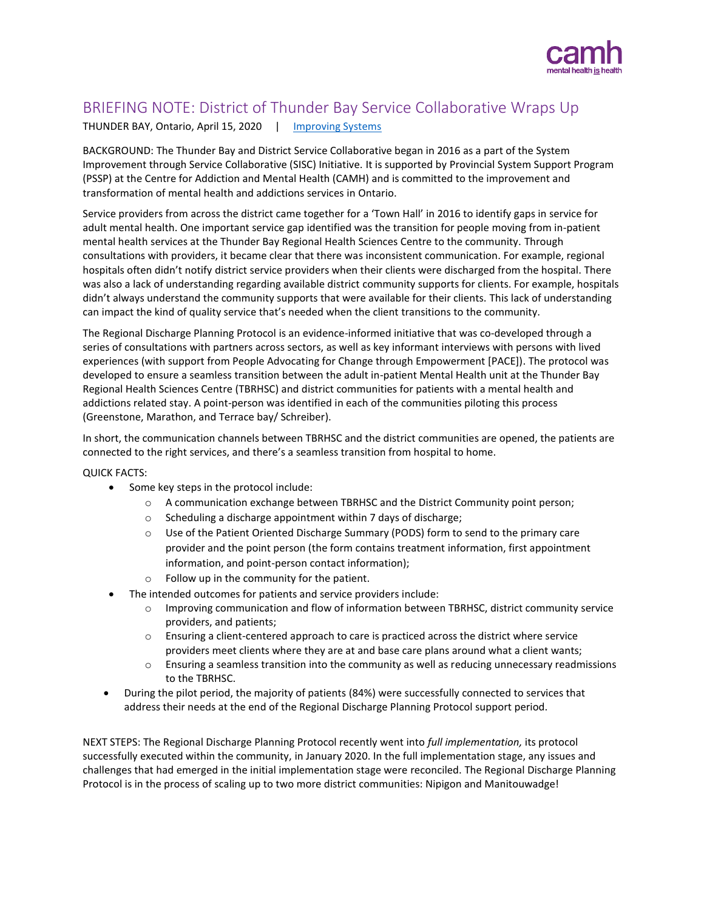

## BRIEFING NOTE: District of Thunder Bay Service Collaborative Wraps Up

THUNDER BAY, Ontario, April 15, 2020 | [Improving Systems](http://www.improvingsystems.ca/)

BACKGROUND: The Thunder Bay and District Service Collaborative began in 2016 as a part of the System Improvement through Service Collaborative (SISC) Initiative. It is supported by Provincial System Support Program (PSSP) at the Centre for Addiction and Mental Health (CAMH) and is committed to the improvement and transformation of mental health and addictions services in Ontario.

Service providers from across the district came together for a 'Town Hall' in 2016 to identify gaps in service for adult mental health. One important service gap identified was the transition for people moving from in-patient mental health services at the Thunder Bay Regional Health Sciences Centre to the community. Through consultations with providers, it became clear that there was inconsistent communication. For example, regional hospitals often didn't notify district service providers when their clients were discharged from the hospital. There was also a lack of understanding regarding available district community supports for clients. For example, hospitals didn't always understand the community supports that were available for their clients. This lack of understanding can impact the kind of quality service that's needed when the client transitions to the community.

The Regional Discharge Planning Protocol is an evidence-informed initiative that was co-developed through a series of consultations with partners across sectors, as well as key informant interviews with persons with lived experiences (with support from People Advocating for Change through Empowerment [PACE]). The protocol was developed to ensure a seamless transition between the adult in-patient Mental Health unit at the Thunder Bay Regional Health Sciences Centre (TBRHSC) and district communities for patients with a mental health and addictions related stay. A point-person was identified in each of the communities piloting this process (Greenstone, Marathon, and Terrace bay/ Schreiber).

In short, the communication channels between TBRHSC and the district communities are opened, the patients are connected to the right services, and there's a seamless transition from hospital to home.

## QUICK FACTS:

- Some key steps in the protocol include:
	- $\circ$  A communication exchange between TBRHSC and the District Community point person;
	- o Scheduling a discharge appointment within 7 days of discharge;
	- o Use of the Patient Oriented Discharge Summary (PODS) form to send to the primary care provider and the point person (the form contains treatment information, first appointment information, and point-person contact information);
	- o Follow up in the community for the patient.
- The intended outcomes for patients and service providers include:
	- o Improving communication and flow of information between TBRHSC, district community service providers, and patients;
	- o Ensuring a client-centered approach to care is practiced across the district where service providers meet clients where they are at and base care plans around what a client wants;
	- $\circ$  Ensuring a seamless transition into the community as well as reducing unnecessary readmissions to the TBRHSC.
- During the pilot period, the majority of patients (84%) were successfully connected to services that address their needs at the end of the Regional Discharge Planning Protocol support period.

NEXT STEPS: The Regional Discharge Planning Protocol recently went into *full implementation,* its protocol successfully executed within the community, in January 2020. In the full implementation stage, any issues and challenges that had emerged in the initial implementation stage were reconciled. The Regional Discharge Planning Protocol is in the process of scaling up to two more district communities: Nipigon and Manitouwadge!